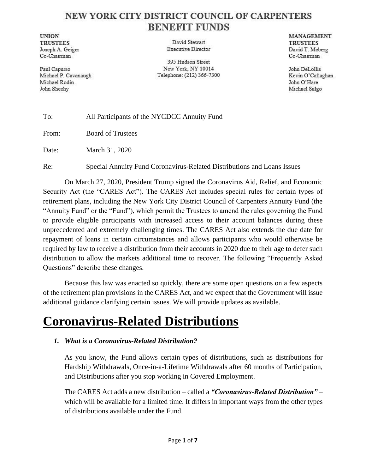### NEW YORK CITY DISTRICT COUNCIL OF CARPENTERS **BENEFIT FUNDS**

**UNION TRUSTEES** Joseph A. Geiger Co-Chairman

Paul Capurso Michael P. Cavanaugh Michael Rodin John Sheehy

David Stewart **Executive Director** 

395 Hudson Street New York, NY 10014 Telephone: (212) 366-7300

MANAGEMENT **TRUSTEES** David T. Meberg Co-Chairman

John DeLollis Kevin O'Callaghan John O'Hare Michael Salgo

| To:   | All Participants of the NYCDCC Annuity Fund                             |
|-------|-------------------------------------------------------------------------|
| From: | <b>Board of Trustees</b>                                                |
| Date: | March 31, 2020                                                          |
| Re:   | Special Annuity Fund Coronavirus-Related Distributions and Loans Issues |

On March 27, 2020, President Trump signed the Coronavirus Aid, Relief, and Economic Security Act (the "CARES Act"). The CARES Act includes special rules for certain types of retirement plans, including the New York City District Council of Carpenters Annuity Fund (the "Annuity Fund" or the "Fund"), which permit the Trustees to amend the rules governing the Fund to provide eligible participants with increased access to their account balances during these unprecedented and extremely challenging times. The CARES Act also extends the due date for repayment of loans in certain circumstances and allows participants who would otherwise be required by law to receive a distribution from their accounts in 2020 due to their age to defer such distribution to allow the markets additional time to recover. The following "Frequently Asked Questions" describe these changes.

Because this law was enacted so quickly, there are some open questions on a few aspects of the retirement plan provisions in the CARES Act, and we expect that the Government will issue additional guidance clarifying certain issues. We will provide updates as available.

### **Coronavirus-Related Distributions**

#### *1. What is a Coronavirus-Related Distribution?*

As you know, the Fund allows certain types of distributions, such as distributions for Hardship Withdrawals, Once-in-a-Lifetime Withdrawals after 60 months of Participation, and Distributions after you stop working in Covered Employment.

The CARES Act adds a new distribution – called a *"Coronavirus-Related Distribution"* – which will be available for a limited time. It differs in important ways from the other types of distributions available under the Fund.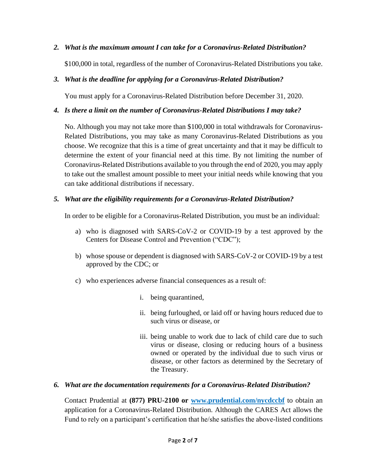*2. What is the maximum amount I can take for a Coronavirus-Related Distribution?*

\$100,000 in total, regardless of the number of Coronavirus-Related Distributions you take.

#### *3. What is the deadline for applying for a Coronavirus-Related Distribution?*

You must apply for a Coronavirus-Related Distribution before December 31, 2020.

#### *4. Is there a limit on the number of Coronavirus-Related Distributions I may take?*

No. Although you may not take more than \$100,000 in total withdrawals for Coronavirus-Related Distributions, you may take as many Coronavirus-Related Distributions as you choose. We recognize that this is a time of great uncertainty and that it may be difficult to determine the extent of your financial need at this time. By not limiting the number of Coronavirus-Related Distributions available to you through the end of 2020, you may apply to take out the smallest amount possible to meet your initial needs while knowing that you can take additional distributions if necessary.

#### *5. What are the eligibility requirements for a Coronavirus-Related Distribution?*

In order to be eligible for a Coronavirus-Related Distribution, you must be an individual:

- a) who is diagnosed with SARS-CoV-2 or COVID-19 by a test approved by the Centers for Disease Control and Prevention ("CDC");
- b) whose spouse or dependent is diagnosed with SARS-CoV-2 or COVID-19 by a test approved by the CDC; or
- c) who experiences adverse financial consequences as a result of:
	- i. being quarantined,
	- ii. being furloughed, or laid off or having hours reduced due to such virus or disease, or
	- iii. being unable to work due to lack of child care due to such virus or disease, closing or reducing hours of a business owned or operated by the individual due to such virus or disease, or other factors as determined by the Secretary of the Treasury.

#### *6. What are the documentation requirements for a Coronavirus-Related Distribution?*

Contact Prudential at **(877) PRU-2100 or [www.prudential.com/nycdccbf](http://www3.prudential.com/email/retirement/IMFPWeb/hosted_websites/nycdccbf/)** to obtain an application for a Coronavirus-Related Distribution. Although the CARES Act allows the Fund to rely on a participant's certification that he/she satisfies the above-listed conditions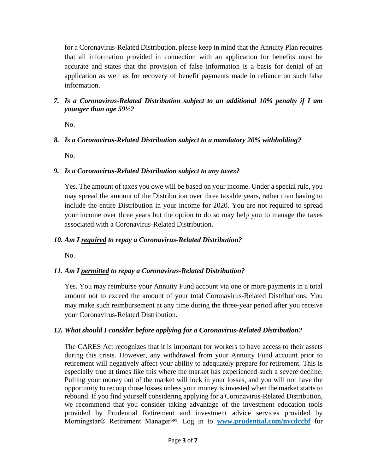for a Coronavirus-Related Distribution, please keep in mind that the Annuity Plan requires that all information provided in connection with an application for benefits must be accurate and states that the provision of false information is a basis for denial of an application as well as for recovery of benefit payments made in reliance on such false information.

*7. Is a Coronavirus-Related Distribution subject to an additional 10% penalty if I am younger than age 59½?*

No.

#### *8. Is a Coronavirus-Related Distribution subject to a mandatory 20% withholding?*

No.

#### *9. Is a Coronavirus-Related Distribution subject to any taxes?*

Yes. The amount of taxes you owe will be based on your income. Under a special rule, you may spread the amount of the Distribution over three taxable years, rather than having to include the entire Distribution in your income for 2020. You are not required to spread your income over three years but the option to do so may help you to manage the taxes associated with a Coronavirus-Related Distribution.

#### *10. Am I required to repay a Coronavirus-Related Distribution?*

No.

#### *11. Am I permitted to repay a Coronavirus-Related Distribution?*

Yes. You may reimburse your Annuity Fund account via one or more payments in a total amount not to exceed the amount of your total Coronavirus-Related Distributions. You may make such reimbursement at any time during the three-year period after you receive your Coronavirus-Related Distribution.

#### *12. What should I consider before applying for a Coronavirus-Related Distribution?*

The CARES Act recognizes that it is important for workers to have access to their assets during this crisis. However, any withdrawal from your Annuity Fund account prior to retirement will negatively affect your ability to adequately prepare for retirement. This is especially true at times like this where the market has experienced such a severe decline. Pulling your money out of the market will lock in your losses, and you will not have the opportunity to recoup those losses unless your money is invested when the market starts to rebound. If you find yourself considering applying for a Coronavirus-Related Distribution, we recommend that you consider taking advantage of the investment education tools provided by Prudential Retirement and investment advice services provided by Morningstar® Retirement Manager<sup>sM</sup>. Log in to **[www.prudential.com/nycdccbf](http://www.prudential.com/nycdccbf)** for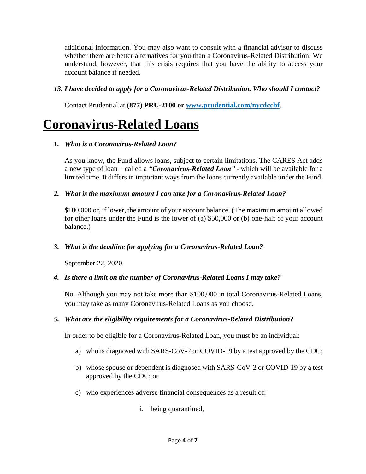additional information. You may also want to consult with a financial advisor to discuss whether there are better alternatives for you than a Coronavirus-Related Distribution. We understand, however, that this crisis requires that you have the ability to access your account balance if needed.

#### *13. I have decided to apply for a Coronavirus-Related Distribution. Who should I contact?*

Contact Prudential at **(877) PRU-2100 or [www.prudential.com/nycdccbf](http://www3.prudential.com/email/retirement/IMFPWeb/hosted_websites/nycdccbf/)**.

## **Coronavirus-Related Loans**

#### *1. What is a Coronavirus-Related Loan?*

As you know, the Fund allows loans, subject to certain limitations. The CARES Act adds a new type of loan – called a *"Coronavirus-Related Loan"* - which will be available for a limited time. It differs in important ways from the loans currently available under the Fund.

#### *2. What is the maximum amount I can take for a Coronavirus-Related Loan?*

\$100,000 or, if lower, the amount of your account balance. (The maximum amount allowed for other loans under the Fund is the lower of (a) \$50,000 or (b) one-half of your account balance.)

#### *3. What is the deadline for applying for a Coronavirus-Related Loan?*

September 22, 2020.

#### *4. Is there a limit on the number of Coronavirus-Related Loans I may take?*

No. Although you may not take more than \$100,000 in total Coronavirus-Related Loans, you may take as many Coronavirus-Related Loans as you choose.

#### *5. What are the eligibility requirements for a Coronavirus-Related Distribution?*

In order to be eligible for a Coronavirus-Related Loan, you must be an individual:

- a) who is diagnosed with SARS-CoV-2 or COVID-19 by a test approved by the CDC;
- b) whose spouse or dependent is diagnosed with SARS-CoV-2 or COVID-19 by a test approved by the CDC; or
- c) who experiences adverse financial consequences as a result of:
	- i. being quarantined,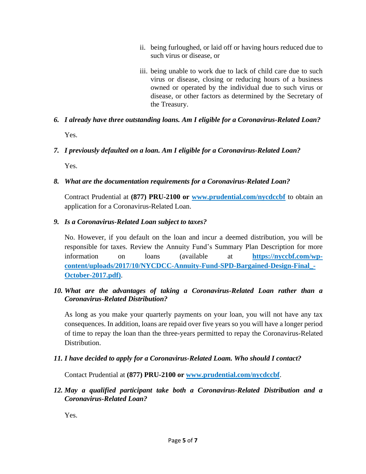- ii. being furloughed, or laid off or having hours reduced due to such virus or disease, or
- iii. being unable to work due to lack of child care due to such virus or disease, closing or reducing hours of a business owned or operated by the individual due to such virus or disease, or other factors as determined by the Secretary of the Treasury.
- *6. I already have three outstanding loans. Am I eligible for a Coronavirus-Related Loan?* Yes.
- *7. I previously defaulted on a loan. Am I eligible for a Coronavirus-Related Loan?*

Yes.

*8. What are the documentation requirements for a Coronavirus-Related Loan?*

Contract Prudential at **(877) PRU-2100 or [www.prudential.com/nycdccbf](http://www3.prudential.com/email/retirement/IMFPWeb/hosted_websites/nycdccbf/)** to obtain an application for a Coronavirus-Related Loan.

*9. Is a Coronavirus-Related Loan subject to taxes?*

No. However, if you default on the loan and incur a deemed distribution, you will be responsible for taxes. Review the Annuity Fund's Summary Plan Description for more information on loans (available at **[https://nyccbf.com/wp](https://nyccbf.com/wp-content/uploads/2017/10/NYCDCC-Annuity-Fund-SPD-Bargained-Design-Final_-October-2017.pdf))[content/uploads/2017/10/NYCDCC-Annuity-Fund-SPD-Bargained-Design-Final\\_-](https://nyccbf.com/wp-content/uploads/2017/10/NYCDCC-Annuity-Fund-SPD-Bargained-Design-Final_-October-2017.pdf)) [October-2017.pdf\)](https://nyccbf.com/wp-content/uploads/2017/10/NYCDCC-Annuity-Fund-SPD-Bargained-Design-Final_-October-2017.pdf))**.

#### *10. What are the advantages of taking a Coronavirus-Related Loan rather than a Coronavirus-Related Distribution?*

As long as you make your quarterly payments on your loan, you will not have any tax consequences. In addition, loans are repaid over five years so you will have a longer period of time to repay the loan than the three-years permitted to repay the Coronavirus-Related Distribution.

*11. I have decided to apply for a Coronavirus-Related Loam. Who should I contact?*

Contact Prudential at **(877) PRU-2100 or [www.prudential.com/nycdccbf](http://www3.prudential.com/email/retirement/IMFPWeb/hosted_websites/nycdccbf/)**.

*12. May a qualified participant take both a Coronavirus-Related Distribution and a Coronavirus-Related Loan?*

Yes.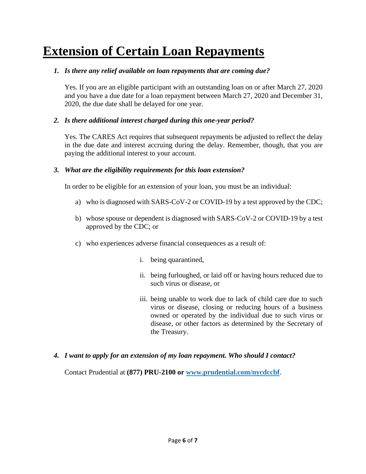# **Extension of Certain Loan Repayments**

#### *1. Is there any relief available on loan repayments that are coming due?*

Yes. If you are an eligible participant with an outstanding loan on or after March 27, 2020 and you have a due date for a loan repayment between March 27, 2020 and December 31, 2020, the due date shall be delayed for one year.

#### *2. Is there additional interest charged during this one-year period?*

Yes. The CARES Act requires that subsequent repayments be adjusted to reflect the delay in the due date and interest accruing during the delay. Remember, though, that you are paying the additional interest to your account.

#### *3. What are the eligibility requirements for this loan extension?*

In order to be eligible for an extension of your loan, you must be an individual:

- a) who is diagnosed with SARS-CoV-2 or COVID-19 by a test approved by the CDC;
- b) whose spouse or dependent is diagnosed with SARS-CoV-2 or COVID-19 by a test approved by the CDC; or
- c) who experiences adverse financial consequences as a result of:
	- i. being quarantined,
	- ii. being furloughed, or laid off or having hours reduced due to such virus or disease, or
	- iii. being unable to work due to lack of child care due to such virus or disease, closing or reducing hours of a business owned or operated by the individual due to such virus or disease, or other factors as determined by the Secretary of the Treasury.

#### *4. I want to apply for an extension of my loan repayment. Who should I contact?*

Contact Prudential at **(877) PRU-2100 or [www.prudential.com/nycdccbf](http://www3.prudential.com/email/retirement/IMFPWeb/hosted_websites/nycdccbf/)**.